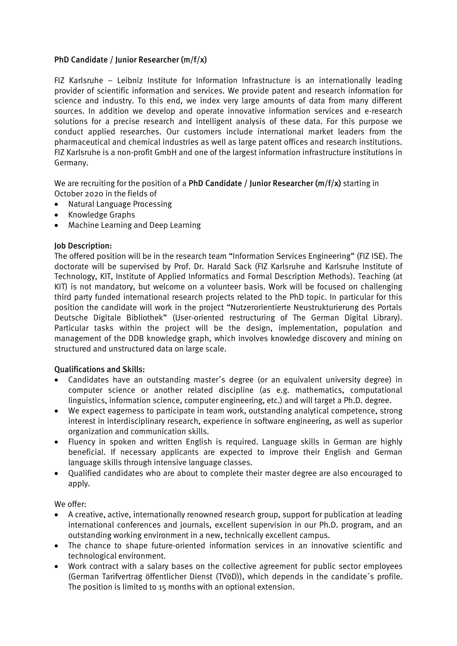## PhD Candidate / Junior Researcher (m/f/x)

FIZ Karlsruhe – Leibniz Institute for Information Infrastructure is an internationally leading provider of scientific information and services. We provide patent and research information for science and industry. To this end, we index very large amounts of data from many different sources. In addition we develop and operate innovative information services and e-research solutions for a precise research and intelligent analysis of these data. For this purpose we conduct applied researches. Our customers include international market leaders from the pharmaceutical and chemical industries as well as large patent offices and research institutions. FIZ Karlsruhe is a non-profit GmbH and one of the largest information infrastructure institutions in Germany.

We are recruiting for the position of a PhD Candidate / Junior Researcher  $(m/f/x)$  starting in October 2020 in the fields of

- Natural Language Processing
- Knowledge Graphs
- Machine Learning and Deep Learning

## Job Description:

The offered position will be in the research team "Information Services Engineering" (FIZ ISE). The doctorate will be supervised by Prof. Dr. Harald Sack (FIZ Karlsruhe and Karlsruhe Institute of Technology, KIT, Institute of Applied Informatics and Formal Description Methods). Teaching (at KIT) is not mandatory, but welcome on a volunteer basis. Work will be focused on challenging third party funded international research projects related to the PhD topic. In particular for this position the candidate will work in the project "Nutzerorientierte Neustrukturierung des Portals Deutsche Digitale Bibliothek" (User-oriented restructuring of The German Digital Library). Particular tasks within the project will be the design, implementation, population and management of the DDB knowledge graph, which involves knowledge discovery and mining on structured and unstructured data on large scale.

## Qualifications and Skills:

- Candidates have an outstanding master´s degree (or an equivalent university degree) in computer science or another related discipline (as e.g. mathematics, computational linguistics, information science, computer engineering, etc.) and will target a Ph.D. degree.
- We expect eagerness to participate in team work, outstanding analytical competence, strong interest in interdisciplinary research, experience in software engineering, as well as superior organization and communication skills.
- Fluency in spoken and written English is required. Language skills in German are highly beneficial. If necessary applicants are expected to improve their English and German language skills through intensive language classes.
- Qualified candidates who are about to complete their master degree are also encouraged to apply.

We offer:

- A creative, active, internationally renowned research group, support for publication at leading international conferences and journals, excellent supervision in our Ph.D. program, and an outstanding working environment in a new, technically excellent campus.
- The chance to shape future-oriented information services in an innovative scientific and technological environment.
- Work contract with a salary bases on the collective agreement for public sector employees (German Tarifvertrag öffentlicher Dienst (TVöD)), which depends in the candidate´s profile. The position is limited to 15 months with an optional extension.